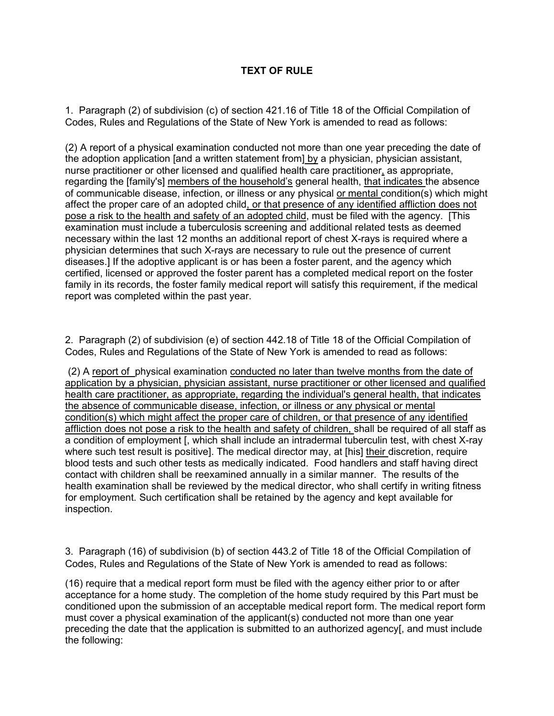## **TEXT OF RULE**

1. Paragraph (2) of subdivision (c) of section 421.16 of Title 18 of the Official Compilation of Codes, Rules and Regulations of the State of New York is amended to read as follows:

(2) A report of a physical examination conducted not more than one year preceding the date of the adoption application [and a written statement from] by a physician, physician assistant, nurse practitioner or other licensed and qualified health care practitioner, as appropriate, regarding the [family's] members of the household's general health, that indicates the absence of communicable disease, infection, or illness or any physical or mental condition(s) which might affect the proper care of an adopted child, or that presence of any identified affliction does not pose a risk to the health and safety of an adopted child, must be filed with the agency. [This examination must include a tuberculosis screening and additional related tests as deemed necessary within the last 12 months an additional report of chest X-rays is required where a physician determines that such X-rays are necessary to rule out the presence of current diseases.] If the adoptive applicant is or has been a foster parent, and the agency which certified, licensed or approved the foster parent has a completed medical report on the foster family in its records, the foster family medical report will satisfy this requirement, if the medical report was completed within the past year.

2. Paragraph (2) of subdivision (e) of section 442.18 of Title 18 of the Official Compilation of Codes, Rules and Regulations of the State of New York is amended to read as follows:

(2) A report of physical examination conducted no later than twelve months from the date of application by a physician, physician assistant, nurse practitioner or other licensed and qualified health care practitioner, as appropriate, regarding the individual's general health, that indicates the absence of communicable disease, infection, or illness or any physical or mental condition(s) which might affect the proper care of children, or that presence of any identified affliction does not pose a risk to the health and safety of children, shall be required of all staff as a condition of employment [, which shall include an intradermal tuberculin test, with chest X-ray where such test result is positive]. The medical director may, at [his] their discretion, require blood tests and such other tests as medically indicated. Food handlers and staff having direct contact with children shall be reexamined annually in a similar manner. The results of the health examination shall be reviewed by the medical director, who shall certify in writing fitness for employment. Such certification shall be retained by the agency and kept available for inspection.

3. Paragraph (16) of subdivision (b) of section 443.2 of Title 18 of the Official Compilation of Codes, Rules and Regulations of the State of New York is amended to read as follows:

(16) require that a medical report form must be filed with the agency either prior to or after acceptance for a home study. The completion of the home study required by this Part must be conditioned upon the submission of an acceptable medical report form. The medical report form must cover a physical examination of the applicant(s) conducted not more than one year preceding the date that the application is submitted to an authorized agency[, and must include the following: